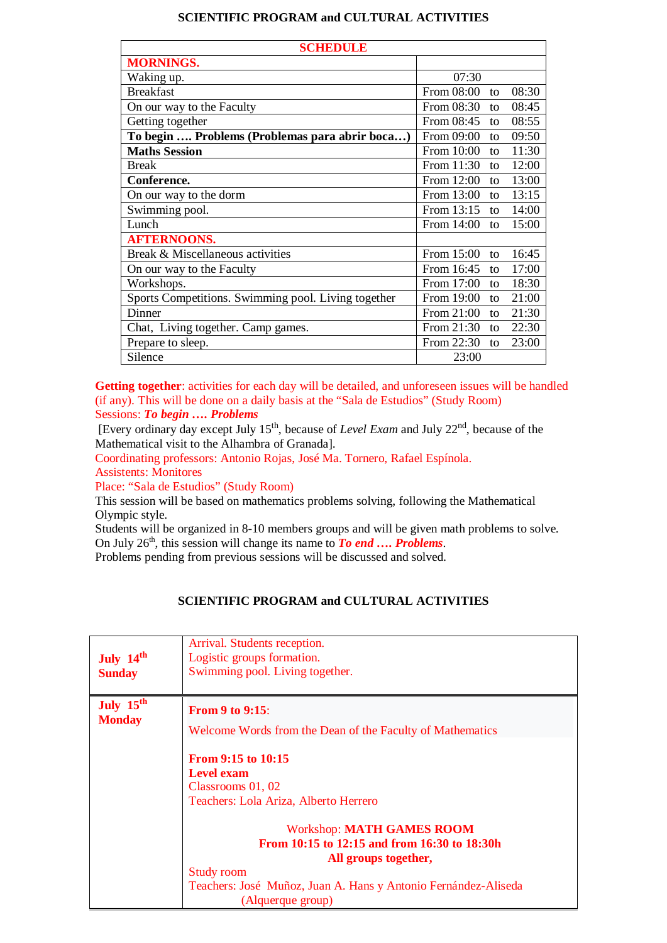## **SCIENTIFIC PROGRAM and CULTURAL ACTIVITIES**

| <b>SCHEDULE</b>                                     |            |               |       |  |
|-----------------------------------------------------|------------|---------------|-------|--|
| <b>MORNINGS.</b>                                    |            |               |       |  |
| Waking up.                                          | 07:30      |               |       |  |
| <b>Breakfast</b>                                    | From 08:00 | to            | 08:30 |  |
| On our way to the Faculty                           | From 08:30 | to            | 08:45 |  |
| Getting together                                    | From 08:45 | to            | 08:55 |  |
| To begin  Problems (Problemas para abrir boca)      | From 09:00 | $\mathsf{f}$  | 09:50 |  |
| <b>Maths Session</b>                                | From 10:00 | to            | 11:30 |  |
| <b>Break</b>                                        | From 11:30 | to            | 12:00 |  |
| Conference.                                         | From 12:00 | to            | 13:00 |  |
| On our way to the dorm                              | From 13:00 | to            | 13:15 |  |
| Swimming pool.                                      | From 13:15 | to            | 14:00 |  |
| Lunch                                               | From 14:00 | to            | 15:00 |  |
| <b>AFTERNOONS.</b>                                  |            |               |       |  |
| Break & Miscellaneous activities                    | From 15:00 | to            | 16:45 |  |
| On our way to the Faculty                           | From 16:45 | $\mathsf{to}$ | 17:00 |  |
| Workshops.                                          | From 17:00 | to            | 18:30 |  |
| Sports Competitions. Swimming pool. Living together | From 19:00 | to            | 21:00 |  |
| Dinner                                              | From 21:00 | to            | 21:30 |  |
| Chat, Living together. Camp games.                  | From 21:30 | to            | 22:30 |  |
| Prepare to sleep.                                   | From 22:30 | to            | 23:00 |  |
| Silence                                             | 23:00      |               |       |  |

Getting together: activities for each day will be detailed, and unforeseen issues will be handled (if any). This will be done on a daily basis at the "Sala de Estudios" (Study Room) Sessions: *To begin …. Problems*

[Every ordinary day except July 15th, because of *Level Exam* and July 22nd, because of the Mathematical visit to the Alhambra of Granada].

Coordinating professors: Antonio Rojas, José Ma. Tornero, Rafael Espínola.

Assistents: Monitores

Place: "Sala de Estudios" (Study Room)

This session will be based on mathematics problems solving, following the Mathematical Olympic style.

Students will be organized in 8-10 members groups and will be given math problems to solve. On July 26<sup>th</sup>, this session will change its name to *To end* ... *Problems*.

Problems pending from previous sessions will be discussed and solved.

## **SCIENTIFIC PROGRAM and CULTURAL ACTIVITIES**

| July 14th<br><b>Sunday</b>             | Arrival. Students reception.<br>Logistic groups formation.<br>Swimming pool. Living together.                                                                                                                        |
|----------------------------------------|----------------------------------------------------------------------------------------------------------------------------------------------------------------------------------------------------------------------|
| July 15 <sup>th</sup><br><b>Monday</b> | <b>From 9 to 9:15:</b><br>Welcome Words from the Dean of the Faculty of Mathematics                                                                                                                                  |
|                                        | <b>From 9:15 to 10:15</b><br><b>Level exam</b><br>Classrooms 01, 02<br>Teachers: Lola Ariza, Alberto Herrero                                                                                                         |
|                                        | <b>Workshop: MATH GAMES ROOM</b><br>From 10:15 to 12:15 and from 16:30 to 18:30h<br>All groups together,<br><b>Study room</b><br>Teachers: José Muñoz, Juan A. Hans y Antonio Fernández-Aliseda<br>(Alquerque group) |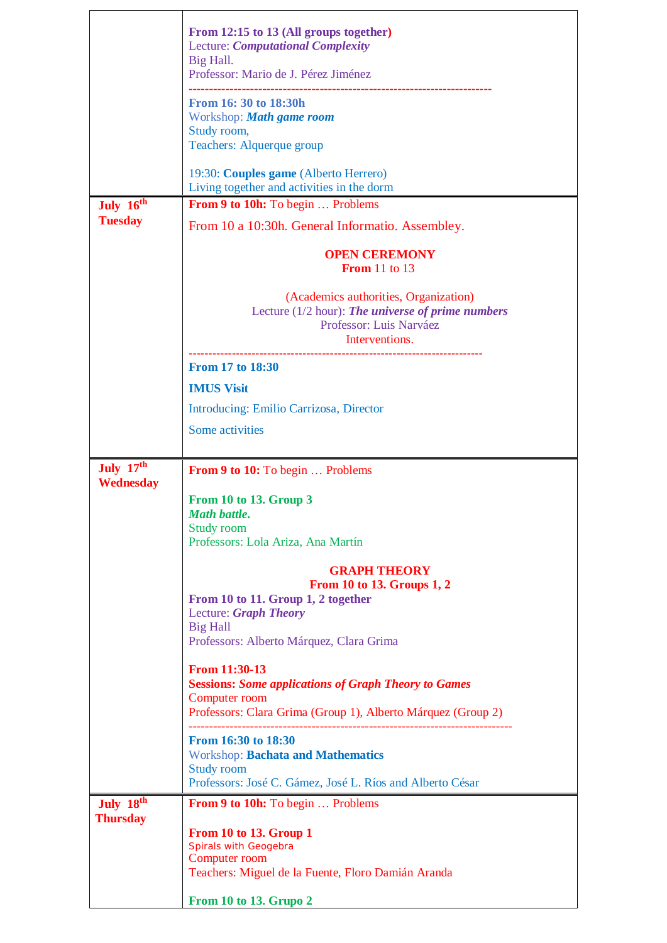|                       | From 12:15 to 13 (All groups together)<br><b>Lecture: Computational Complexity</b><br>Big Hall.<br>Professor: Mario de J. Pérez Jiménez                       |
|-----------------------|---------------------------------------------------------------------------------------------------------------------------------------------------------------|
|                       | From 16: 30 to 18:30h<br>Workshop: Math game room<br>Study room,<br>Teachers: Alquerque group                                                                 |
|                       | 19:30: Couples game (Alberto Herrero)                                                                                                                         |
| July 16th             | Living together and activities in the dorm<br>From 9 to 10h: To begin  Problems                                                                               |
| <b>Tuesday</b>        | From 10 a 10:30h. General Informatio. Assembley.                                                                                                              |
|                       | <b>OPEN CEREMONY</b><br><b>From</b> 11 to 13                                                                                                                  |
|                       | (Academics authorities, Organization)<br>Lecture $(1/2$ hour): The universe of prime numbers<br>Professor: Luis Narváez<br>Interventions.                     |
|                       | From 17 to 18:30                                                                                                                                              |
|                       | <b>IMUS Visit</b>                                                                                                                                             |
|                       | Introducing: Emilio Carrizosa, Director                                                                                                                       |
|                       | Some activities                                                                                                                                               |
| July 17th             | <b>From 9 to 10:</b> To begin  Problems                                                                                                                       |
| <b>Wednesday</b>      | From 10 to 13. Group 3<br>Math battle.                                                                                                                        |
|                       | Study room<br>Professors: Lola Ariza, Ana Martín                                                                                                              |
|                       | <b>GRAPH THEORY</b><br><b>From 10 to 13. Groups 1, 2</b><br>From 10 to 11. Group 1, 2 together<br>Lecture: Graph Theory                                       |
|                       | <b>Big Hall</b><br>Professors: Alberto Márquez, Clara Grima                                                                                                   |
|                       | From 11:30-13<br><b>Sessions: Some applications of Graph Theory to Games</b><br>Computer room<br>Professors: Clara Grima (Group 1), Alberto Márquez (Group 2) |
|                       | <b>From 16:30 to 18:30</b><br><b>Workshop: Bachata and Mathematics</b><br><b>Study room</b><br>Professors: José C. Gámez, José L. Ríos and Alberto César      |
| July 18 <sup>th</sup> | <b>From 9 to 10h:</b> To begin  Problems                                                                                                                      |
| <b>Thursday</b>       | From 10 to 13. Group 1<br>Spirals with Geogebra<br>Computer room<br>Teachers: Miguel de la Fuente, Floro Damián Aranda                                        |
|                       | From 10 to 13. Grupo 2                                                                                                                                        |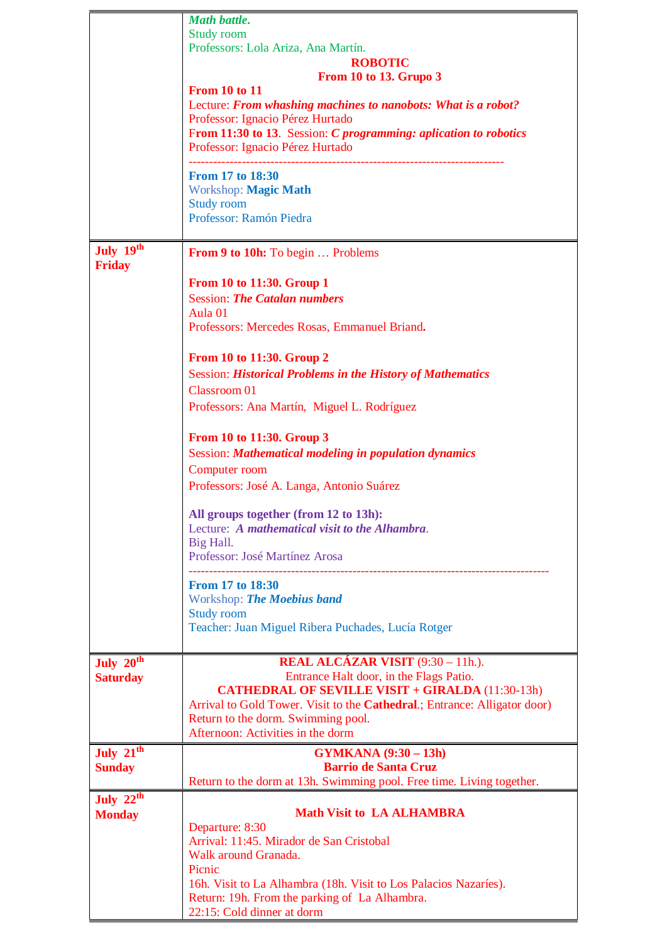|                              | <b>Math battle.</b>                                                                                               |
|------------------------------|-------------------------------------------------------------------------------------------------------------------|
|                              | Study room                                                                                                        |
|                              | Professors: Lola Ariza, Ana Martín.<br><b>ROBOTIC</b>                                                             |
|                              | From 10 to 13. Grupo 3                                                                                            |
|                              | <b>From 10 to 11</b>                                                                                              |
|                              | Lecture: From whashing machines to nanobots: What is a robot?                                                     |
|                              | Professor: Ignacio Pérez Hurtado                                                                                  |
|                              | From 11:30 to 13. Session: C programming: aplication to robotics                                                  |
|                              | Professor: Ignacio Pérez Hurtado                                                                                  |
|                              | From 17 to 18:30                                                                                                  |
|                              | Workshop: Magic Math                                                                                              |
|                              | <b>Study room</b>                                                                                                 |
|                              | Professor: Ramón Piedra                                                                                           |
|                              |                                                                                                                   |
| July 19th<br><b>Friday</b>   | <b>From 9 to 10h:</b> To begin  Problems                                                                          |
|                              | From 10 to 11:30. Group 1                                                                                         |
|                              | <b>Session: The Catalan numbers</b>                                                                               |
|                              | Aula 01                                                                                                           |
|                              | Professors: Mercedes Rosas, Emmanuel Briand.                                                                      |
|                              | From 10 to 11:30. Group 2                                                                                         |
|                              | <b>Session: Historical Problems in the History of Mathematics</b>                                                 |
|                              | <b>Classroom 01</b>                                                                                               |
|                              | Professors: Ana Martín, Miguel L. Rodríguez                                                                       |
|                              | From 10 to 11:30. Group 3                                                                                         |
|                              | Session: Mathematical modeling in population dynamics                                                             |
|                              | Computer room                                                                                                     |
|                              | Professors: José A. Langa, Antonio Suárez                                                                         |
|                              | All groups together (from 12 to 13h):                                                                             |
|                              | Lecture: A mathematical visit to the Alhambra.                                                                    |
|                              | Big Hall.                                                                                                         |
|                              | Professor: José Martínez Arosa                                                                                    |
|                              | <b>From 17 to 18:30</b>                                                                                           |
|                              | Workshop: The Moebius band                                                                                        |
|                              | <b>Study room</b>                                                                                                 |
|                              | Teacher: Juan Miguel Ribera Puchades, Lucía Rotger                                                                |
|                              |                                                                                                                   |
| July 20 <sup>th</sup>        | <b>REAL ALCÁZAR VISIT</b> $(9:30 - 11)$ .                                                                         |
| <b>Saturday</b>              | Entrance Halt door, in the Flags Patio.<br><b>CATHEDRAL OF SEVILLE VISIT + GIRALDA (11:30-13h)</b>                |
|                              | Arrival to Gold Tower. Visit to the <b>Cathedral</b> .; Entrance: Alligator door)                                 |
|                              | Return to the dorm. Swimming pool.                                                                                |
|                              | Afternoon: Activities in the dorm                                                                                 |
| July 21 <sup>th</sup>        | <b>GYMKANA</b> (9:30 – 13h)                                                                                       |
| <b>Sunday</b>                | <b>Barrio de Santa Cruz</b>                                                                                       |
|                              | Return to the dorm at 13h. Swimming pool. Free time. Living together.                                             |
| July $22th$<br><b>Monday</b> | <b>Math Visit to LA ALHAMBRA</b>                                                                                  |
|                              | Departure: 8:30                                                                                                   |
|                              | Arrival: 11:45. Mirador de San Cristobal                                                                          |
|                              | Walk around Granada.                                                                                              |
|                              | Picnic                                                                                                            |
|                              | 16h. Visit to La Alhambra (18h. Visit to Los Palacios Nazaríes).<br>Return: 19h. From the parking of La Alhambra. |
|                              | 22:15: Cold dinner at dorm                                                                                        |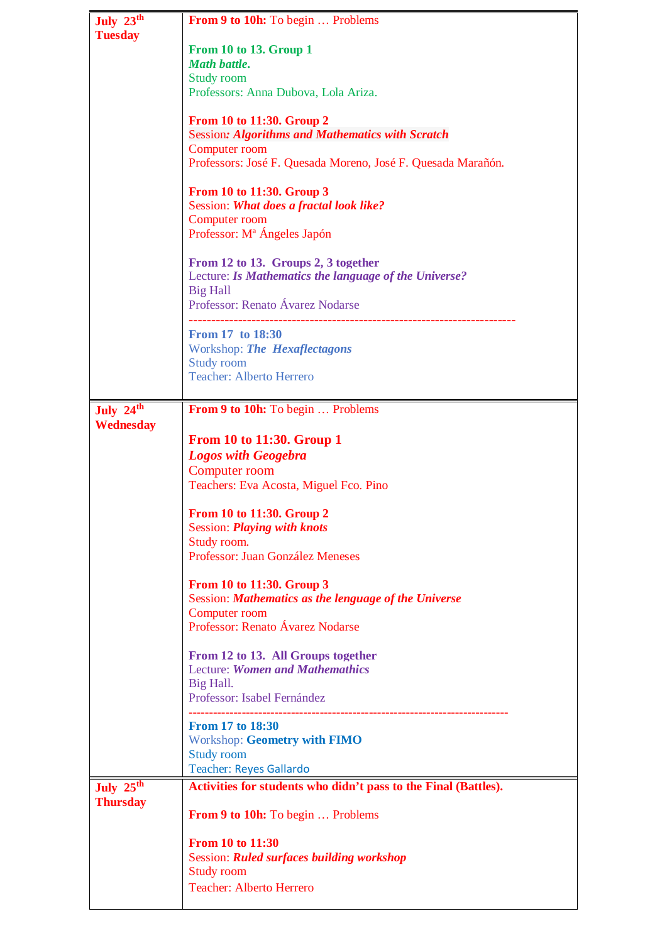| July $23^{\overline{th}}$ | From 9 to 10h: To begin  Problems                               |
|---------------------------|-----------------------------------------------------------------|
| <b>Tuesday</b>            |                                                                 |
|                           | From 10 to 13. Group 1                                          |
|                           | <b>Math battle.</b>                                             |
|                           | <b>Study room</b>                                               |
|                           | Professors: Anna Dubova, Lola Ariza.                            |
|                           |                                                                 |
|                           |                                                                 |
|                           | From 10 to 11:30. Group 2                                       |
|                           | <b>Session: Algorithms and Mathematics with Scratch</b>         |
|                           | Computer room                                                   |
|                           | Professors: José F. Quesada Moreno, José F. Quesada Marañón.    |
|                           |                                                                 |
|                           | From 10 to 11:30. Group 3                                       |
|                           | Session: What does a fractal look like?                         |
|                           |                                                                 |
|                           | Computer room                                                   |
|                           | Professor: M <sup>ª</sup> Ángeles Japón                         |
|                           |                                                                 |
|                           | From 12 to 13. Groups 2, 3 together                             |
|                           | Lecture: Is Mathematics the language of the Universe?           |
|                           | <b>Big Hall</b>                                                 |
|                           | Professor: Renato Ávarez Nodarse                                |
|                           |                                                                 |
|                           |                                                                 |
|                           | From 17 to 18:30                                                |
|                           | Workshop: The Hexaflectagons                                    |
|                           | Study room                                                      |
|                           | <b>Teacher: Alberto Herrero</b>                                 |
|                           |                                                                 |
|                           |                                                                 |
| July 24th                 | From 9 to 10h: To begin  Problems                               |
| Wednesday                 |                                                                 |
|                           | <b>From 10 to 11:30. Group 1</b>                                |
|                           | <b>Logos with Geogebra</b>                                      |
|                           |                                                                 |
|                           | Computer room                                                   |
|                           | Teachers: Eva Acosta, Miguel Fco. Pino                          |
|                           |                                                                 |
|                           | <b>From 10 to 11:30. Group 2</b>                                |
|                           | <b>Session: Playing with knots</b>                              |
|                           | Study room.                                                     |
|                           | Professor: Juan González Meneses                                |
|                           |                                                                 |
|                           |                                                                 |
|                           | From 10 to 11:30. Group 3                                       |
|                           | Session: Mathematics as the lenguage of the Universe            |
|                           | Computer room                                                   |
|                           | Professor: Renato Ávarez Nodarse                                |
|                           |                                                                 |
|                           | From 12 to 13. All Groups together                              |
|                           | <b>Lecture: Women and Mathemathics</b>                          |
|                           |                                                                 |
|                           | Big Hall.                                                       |
|                           | Professor: Isabel Fernández                                     |
|                           |                                                                 |
|                           | <b>From 17 to 18:30</b>                                         |
|                           | <b>Workshop: Geometry with FIMO</b>                             |
|                           | <b>Study room</b>                                               |
|                           | <b>Teacher: Reyes Gallardo</b>                                  |
|                           |                                                                 |
| July $25^{\text{th}}$     | Activities for students who didn't pass to the Final (Battles). |
| <b>Thursday</b>           |                                                                 |
|                           | <b>From 9 to 10h:</b> To begin  Problems                        |
|                           |                                                                 |
|                           | From 10 to 11:30                                                |
|                           | <b>Session: Ruled surfaces building workshop</b>                |
|                           | <b>Study room</b>                                               |
|                           |                                                                 |
|                           | <b>Teacher: Alberto Herrero</b>                                 |
|                           |                                                                 |